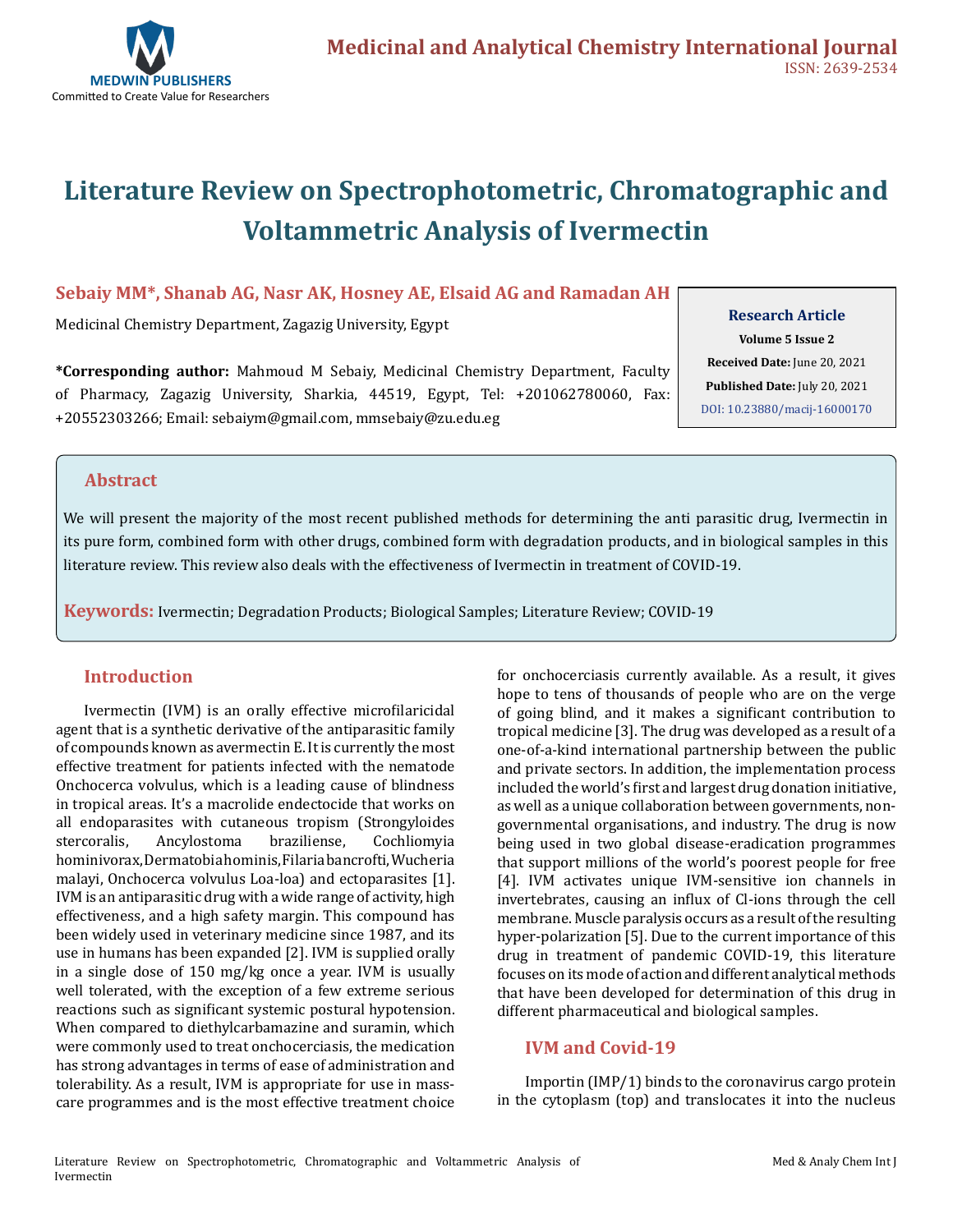

# **Literature Review on Spectrophotometric, Chromatographic and Voltammetric Analysis of Ivermectin**

#### **Sebaiy MM\*, Shanab AG, Nasr AK, Hosney AE, Elsaid AG and Ramadan AH**

Medicinal Chemistry Department, Zagazig University, Egypt

**\*Corresponding author:** Mahmoud M Sebaiy, Medicinal Chemistry Department, Faculty of Pharmacy, Zagazig University, Sharkia, 44519, Egypt, Tel: +201062780060, Fax: +20552303266; Email: sebaiym@gmail.com, mmsebaiy@zu.edu.eg

# **Research Article**

**Volume 5 Issue 2 Received Date:** June 20, 2021 **Published Date:** July 20, 2021 [DOI: 10.23880/macij-16000170](https://doi.org/10.23880/macij-16000170)

#### **Abstract**

We will present the majority of the most recent published methods for determining the anti parasitic drug, Ivermectin in its pure form, combined form with other drugs, combined form with degradation products, and in biological samples in this literature review. This review also deals with the effectiveness of Ivermectin in treatment of COVID-19.

**Keywords:** Ivermectin; Degradation Products; Biological Samples; Literature Review; COVID-19

#### **Introduction**

Ivermectin (IVM) is an orally effective microfilaricidal agent that is a synthetic derivative of the antiparasitic family of compounds known as avermectin E. It is currently the most effective treatment for patients infected with the nematode Onchocerca volvulus, which is a leading cause of blindness in tropical areas. It's a macrolide endectocide that works on all endoparasites with cutaneous tropism (Strongyloides stercoralis, Ancylostoma braziliense, Cochliomyia Ancylostoma hominivorax, Dermatobia hominis, Filaria bancrofti, Wucheria malayi, Onchocerca volvulus Loa-loa) and ectoparasites [1]. IVM is an antiparasitic drug with a wide range of activity, high effectiveness, and a high safety margin. This compound has been widely used in veterinary medicine since 1987, and its use in humans has been expanded [2]. IVM is supplied orally in a single dose of 150 mg/kg once a year. IVM is usually well tolerated, with the exception of a few extreme serious reactions such as significant systemic postural hypotension. When compared to diethylcarbamazine and suramin, which were commonly used to treat onchocerciasis, the medication has strong advantages in terms of ease of administration and tolerability. As a result, IVM is appropriate for use in masscare programmes and is the most effective treatment choice for onchocerciasis currently available. As a result, it gives hope to tens of thousands of people who are on the verge of going blind, and it makes a significant contribution to tropical medicine [3]. The drug was developed as a result of a one-of-a-kind international partnership between the public and private sectors. In addition, the implementation process included the world's first and largest drug donation initiative, as well as a unique collaboration between governments, nongovernmental organisations, and industry. The drug is now being used in two global disease-eradication programmes that support millions of the world's poorest people for free [4]. IVM activates unique IVM-sensitive ion channels in invertebrates, causing an influx of Cl-ions through the cell membrane. Muscle paralysis occurs as a result of the resulting hyper-polarization [5]. Due to the current importance of this drug in treatment of pandemic COVID-19, this literature focuses on its mode of action and different analytical methods that have been developed for determination of this drug in different pharmaceutical and biological samples.

#### **IVM and Covid-19**

Importin (IMP/1) binds to the coronavirus cargo protein in the cytoplasm (top) and translocates it into the nucleus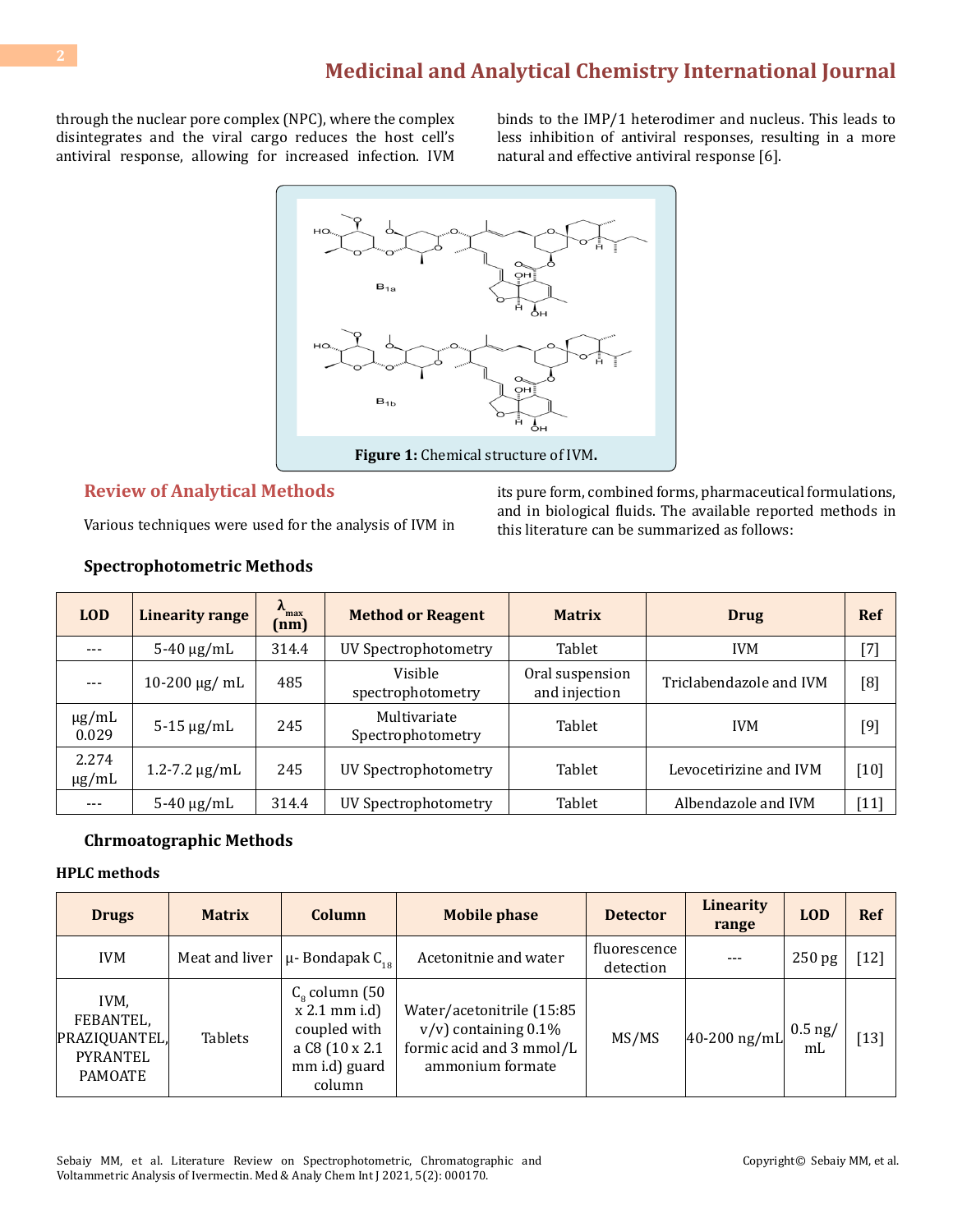through the nuclear pore complex (NPC), where the complex disintegrates and the viral cargo reduces the host cell's antiviral response, allowing for increased infection. IVM binds to the IMP/1 heterodimer and nucleus. This leads to less inhibition of antiviral responses, resulting in a more natural and effective antiviral response [6].



#### **Review of Analytical Methods**

Various techniques were used for the analysis of IVM in

its pure form, combined forms, pharmaceutical formulations, and in biological fluids. The available reported methods in this literature can be summarized as follows:

| <b>LOD</b>          | <b>Linearity range</b>                | $\lambda_{\text{max}}$<br>(nm) | <b>Method or Reagent</b>          | <b>Matrix</b>                    | Drug                    | <b>Ref</b>                                                                                                                                                                                                                                                                                                                                                                     |
|---------------------|---------------------------------------|--------------------------------|-----------------------------------|----------------------------------|-------------------------|--------------------------------------------------------------------------------------------------------------------------------------------------------------------------------------------------------------------------------------------------------------------------------------------------------------------------------------------------------------------------------|
| $---$               | $5-40 \mu g/mL$                       | 314.4                          | UV Spectrophotometry              | Tablet                           | <b>IVM</b>              | $^{[7]}$                                                                                                                                                                                                                                                                                                                                                                       |
| $---$               | $10-200 \,\mathrm{\mu g}/\mathrm{mL}$ | 485                            | Visible<br>spectrophotometry      | Oral suspension<br>and injection | Triclabendazole and IVM | [8]                                                                                                                                                                                                                                                                                                                                                                            |
| $\mu$ g/mL<br>0.029 | $5-15 \mu g/mL$                       | 245                            | Multivariate<br>Spectrophotometry | Tablet                           | <b>IVM</b>              | $[9] % \begin{subfigure}[t]{0.45\textwidth} \includegraphics[width=\textwidth]{figures/fig_10.pdf} \caption{The 3D (top) and the 4D (bottom) of the 3D (bottom) of the 3D (bottom) of the 3D (bottom) of the 3D (bottom) of the 3D (bottom).} \label{fig:2d} \end{subfigure} \vspace{-1.5cm} \caption{The 3D (bottom) and the 3D (bottom) of the 3D (bottom).} \label{fig:2d}$ |
| 2.274<br>$\mu$ g/mL | $1.2 - 7.2 \mu g/mL$                  | 245                            | UV Spectrophotometry              | Tablet                           | Levocetirizine and IVM  | $[10]$                                                                                                                                                                                                                                                                                                                                                                         |
|                     | $5-40 \mu g/mL$                       | 314.4                          | UV Spectrophotometry              | Tablet                           | Albendazole and IVM     | $[11]$                                                                                                                                                                                                                                                                                                                                                                         |

#### **Spectrophotometric Methods**

#### **Chrmoatographic Methods**

#### **HPLC methods**

| <b>Drugs</b>                                                     | <b>Matrix</b>  | Column                                                                                                  | <b>Mobile phase</b><br><b>Detector</b>                                                               |                           | <b>Linearity</b><br>range | <b>LOD</b>                  | <b>Ref</b> |
|------------------------------------------------------------------|----------------|---------------------------------------------------------------------------------------------------------|------------------------------------------------------------------------------------------------------|---------------------------|---------------------------|-----------------------------|------------|
| <b>IVM</b>                                                       | Meat and liver | $\mu$ - Bondapak C <sub>10</sub>                                                                        | Acetonitnie and water                                                                                | fluorescence<br>detection | $---$                     | 250 pg                      | 12]        |
| IVM.<br>FEBANTEL,<br>PRAZIQUANTEL,<br>PYRANTEL<br><b>PAMOATE</b> | <b>Tablets</b> | $C_{\rm g}$ column (50<br>$x 2.1$ mm i.d)<br>coupled with<br>a C8 (10 x 2.1)<br>mm i.d) guard<br>column | Water/acetonitrile (15:85<br>$v/v$ ) containing 0.1%<br>formic acid and 3 mmol/L<br>ammonium formate | MS/MS                     | $40-200$ ng/mL            | $0.5$ ng/<br>m <sub>L</sub> | $[13]$     |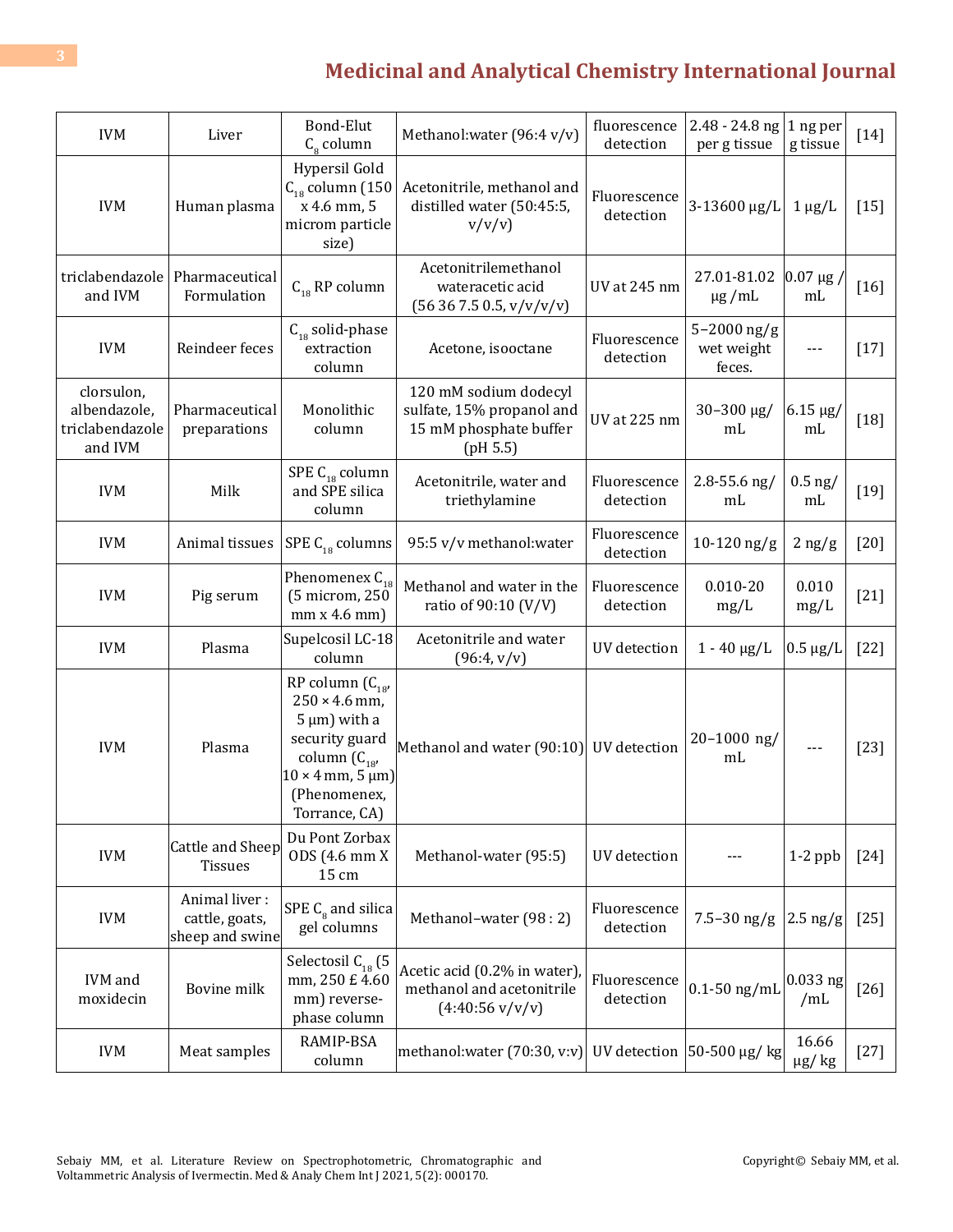| <b>IVM</b>                                               | Liver                                              | Bond-Elut<br>$C_{\rm g}$ column                                                                                                                                            | Methanol: water (96:4 v/v)                                                                           | fluorescence<br>detection | $2.48 - 24.8$ ng<br>per g tissue          | 1 ng per<br>g tissue               | $[14]$ |
|----------------------------------------------------------|----------------------------------------------------|----------------------------------------------------------------------------------------------------------------------------------------------------------------------------|------------------------------------------------------------------------------------------------------|---------------------------|-------------------------------------------|------------------------------------|--------|
| <b>IVM</b>                                               | Human plasma                                       | Hypersil Gold<br>$C_{18}$ column (150<br>x 4.6 mm, 5<br>microm particle<br>size)                                                                                           | Acetonitrile, methanol and<br>distilled water (50:45:5,<br>v/v/v)                                    | Fluorescence<br>detection | 3-13600 µg/L                              | $1 \mu g/L$                        | $[15]$ |
| triclabendazole<br>and IVM                               | Pharmaceutical<br>Formulation                      | $C_{18}$ RP column                                                                                                                                                         | Acetonitrilemethanol<br>wateracetic acid<br>(56367.50.5, v/v/v/v)                                    | <b>UV</b> at 245 nm       | 27.01-81.02<br>$\mu$ g/mL                 | $ 0.07 \mu g $<br>m <sub>L</sub>   | [16]   |
| <b>IVM</b>                                               | Reindeer feces                                     | $C_{18}$ solid-phase<br>extraction<br>column                                                                                                                               | Acetone, isooctane                                                                                   | Fluorescence<br>detection | $5 - 2000$ ng/g<br>wet weight<br>feces.   | $---$                              | $[17]$ |
| clorsulon,<br>albendazole,<br>triclabendazole<br>and IVM | Pharmaceutical<br>preparations                     | Monolithic<br>column                                                                                                                                                       | 120 mM sodium dodecyl<br>sulfate, 15% propanol and<br>15 mM phosphate buffer<br>(pH 5.5)             | <b>UV</b> at 225 nm       | 30-300 µg/<br>m <sub>L</sub>              | $6.15 \text{ µg}$<br>mL            | $[18]$ |
| <b>IVM</b>                                               | Milk                                               | SPE $\mathsf{C}_{\mathsf{18}}$ column<br>and SPE silica<br>column                                                                                                          | Acetonitrile, water and<br>triethylamine                                                             | Fluorescence<br>detection | $2.8 - 55.6$ ng/<br>mL                    | $0.5$ ng/<br>m <sub>L</sub>        | $[19]$ |
| <b>IVM</b>                                               | Animal tissues                                     | SPE $C_{18}$ columns                                                                                                                                                       | 95:5 v/v methanol: water                                                                             | Fluorescence<br>detection | $10-120$ ng/g                             | $2$ ng/g                           | $[20]$ |
| <b>IVM</b>                                               | Pig serum                                          | Phenomenex $C_{18}$<br>(5 microm, 250<br>mm x 4.6 mm                                                                                                                       | Methanol and water in the<br>ratio of 90:10 (V/V)                                                    | Fluorescence<br>detection | $0.010 - 20$<br>mg/L                      | 0.010<br>mg/L                      | $[21]$ |
| <b>IVM</b>                                               | Plasma                                             | Supelcosil LC-18<br>column                                                                                                                                                 | Acetonitrile and water<br>(96:4, v/v)                                                                | UV detection              | $1 - 40 \mu g/L$                          | $0.5 \ \mu g/L$                    | $[22]$ |
| <b>IVM</b>                                               | Plasma                                             | RP column $(C_{18}$<br>$250 \times 4.6$ mm,<br>$5 \mu m$ ) with a<br>security guard<br>column $(C_{18'}$<br>$10 \times 4$ mm, $5 \mu m$ )<br>(Phenomenex,<br>Torrance, CA) | Methanol and water (90:10)                                                                           | UV detection              | $20 - 1000$ ng/<br>mL                     | ---                                | $[23]$ |
| <b>IVM</b>                                               | Cattle and Sheep<br><b>Tissues</b>                 | Du Pont Zorbax<br>ODS (4.6 mm X<br>15 cm                                                                                                                                   | Methanol-water (95:5)                                                                                | UV detection              |                                           | $1-2$ ppb                          | $[24]$ |
| <b>IVM</b>                                               | Animal liver:<br>cattle, goats,<br>sheep and swine | SPE $C_{8}$ and silica<br>gel columns                                                                                                                                      | Methanol-water (98 : 2)                                                                              | Fluorescence<br>detection | $7.5 - 30$ ng/g                           | $\vert 2.5 \text{ ng/g}$           | $[25]$ |
| IVM and<br>moxidecin                                     | Bovine milk                                        | Selectosil $C_{18}$ (5<br>mm, 250 £ 4.60<br>mm) reverse-<br>phase column                                                                                                   | Acetic acid (0.2% in water),<br>methanol and acetonitrile<br>$(4:40:56 \text{ v}/\text{v}/\text{v})$ | Fluorescence<br>detection | $0.1 - 50$ ng/mL                          | $0.033$ ng<br>/mL                  | $[26]$ |
| <b>IVM</b>                                               | Meat samples                                       | RAMIP-BSA<br>column                                                                                                                                                        | methanol: water $(70:30, v:v)$                                                                       |                           | UV detection $ 50-500 \mu g / \text{kg} $ | 16.66<br>$\mu\text{g}/\;\text{kg}$ | $[27]$ |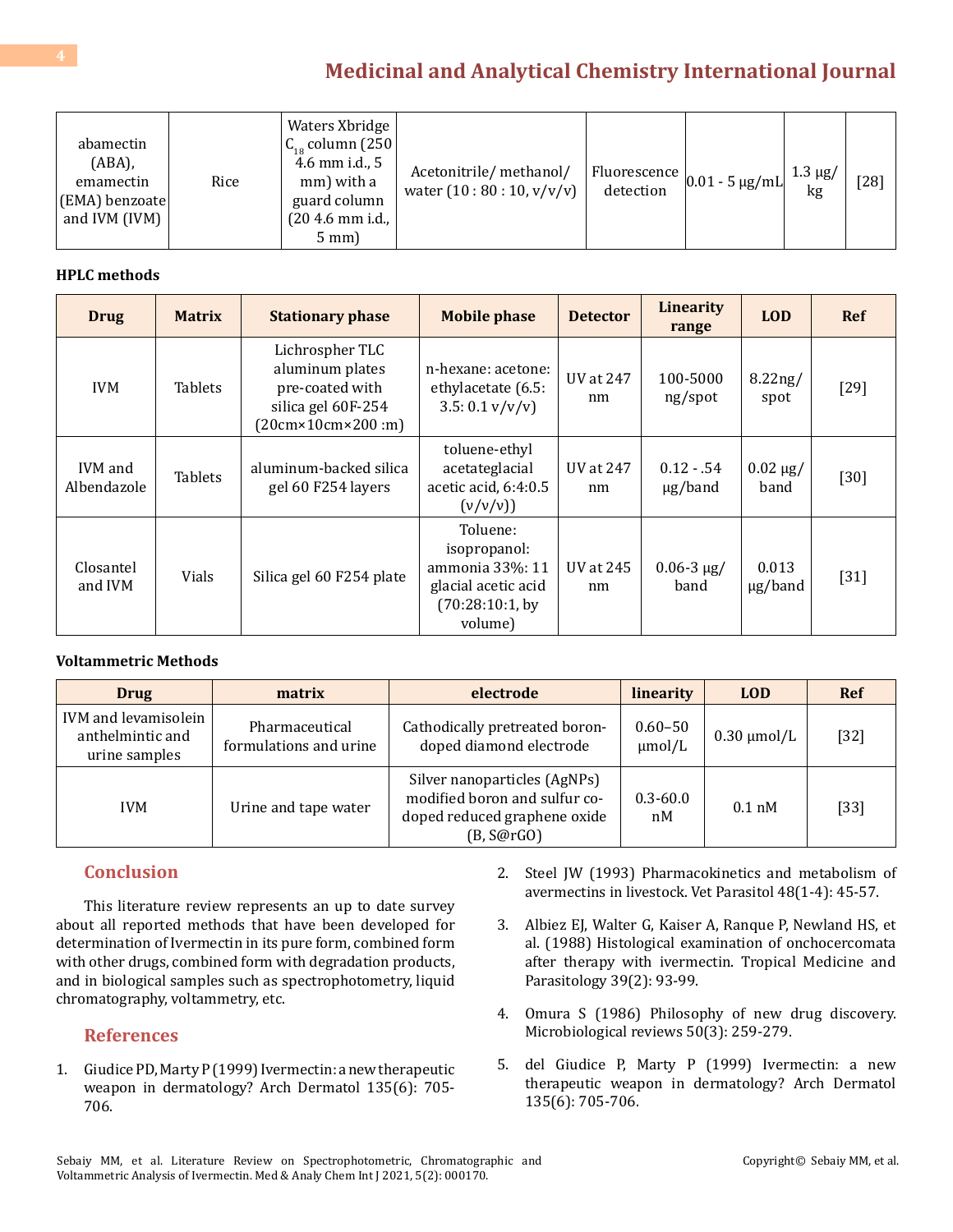| abamectin<br>$(ABA)$ ,<br>emamectin<br>(EMA) benzoate<br>and IVM (IVM) | Rice | Waters Xbridge<br>$C_{18}$ column (250)<br>4.6 mm i.d., 5<br>mm) with a<br>guard column<br>$(204.6 \text{ mm i.d.})$<br>$5$ mm) | Acetonitrile/methanol/<br>water $(10:80:10, v/v/v)$ | detection | $\mu$   Fluorescence $\vert_{0.01}$ - 5 $\mu$ g/mL  $\sim$ | $1.3 \mu g$<br>kg | [28] |
|------------------------------------------------------------------------|------|---------------------------------------------------------------------------------------------------------------------------------|-----------------------------------------------------|-----------|------------------------------------------------------------|-------------------|------|
|------------------------------------------------------------------------|------|---------------------------------------------------------------------------------------------------------------------------------|-----------------------------------------------------|-----------|------------------------------------------------------------|-------------------|------|

#### **HPLC methods**

| <b>Drug</b>            | <b>Matrix</b>  | <b>Stationary phase</b>                                                                                          | <b>Mobile phase</b>                                                                              | <b>Detector</b> | Linearity<br>range           | <b>LOD</b>            | <b>Ref</b> |
|------------------------|----------------|------------------------------------------------------------------------------------------------------------------|--------------------------------------------------------------------------------------------------|-----------------|------------------------------|-----------------------|------------|
| <b>IVM</b>             | <b>Tablets</b> | Lichrospher TLC<br>aluminum plates<br>pre-coated with<br>silica gel 60F-254<br>$(20cm \times 10cm \times 200cm)$ | n-hexane: acetone:<br>ethylacetate (6.5:<br>3.5: 0.1 v/v/v                                       | UV at 247<br>nm | 100-5000<br>ng/spot          | $8.22$ ng/<br>spot    | $[29]$     |
| IVM and<br>Albendazole | <b>Tablets</b> | aluminum-backed silica<br>gel 60 F254 layers                                                                     | toluene-ethyl<br>acetateglacial<br>acetic acid, 6:4:0.5<br>(v/v/v))                              | UV at 247<br>nm | $0.12 - .54$<br>$\mu$ g/band | $0.02 \mu g/$<br>band | $[30]$     |
| Closantel<br>and IVM   | Vials          | Silica gel 60 F254 plate                                                                                         | Toluene:<br>isopropanol:<br>ammonia 33%: 11<br>glacial acetic acid<br>(70:28:10:1, by<br>volume) | UV at 245<br>nm | $0.06 - 3 \mu g$<br>band     | 0.013<br>$\mu$ g/band | $[31]$     |

#### **Voltammetric Methods**

| <b>Drug</b>                                               | matrix                                   | electrode                                                                                                   | linearity                  | <b>LOD</b>       | Ref    |
|-----------------------------------------------------------|------------------------------------------|-------------------------------------------------------------------------------------------------------------|----------------------------|------------------|--------|
| IVM and levamisolein<br>anthelmintic and<br>urine samples | Pharmaceutical<br>formulations and urine | Cathodically pretreated boron-<br>doped diamond electrode                                                   | $0.60 - 50$<br>$\mu$ mol/L | $0.30 \mu$ mol/L | $[32]$ |
| <b>IVM</b>                                                | Urine and tape water                     | Silver nanoparticles (AgNPs)<br>modified boron and sulfur co-<br>doped reduced graphene oxide<br>(B, S@rGO) | $0.3 - 60.0$<br>nM         | $0.1$ nM         | $[33]$ |

#### **Conclusion**

This literature review represents an up to date survey about all reported methods that have been developed for determination of Ivermectin in its pure form, combined form with other drugs, combined form with degradation products, and in biological samples such as spectrophotometry, liquid chromatography, voltammetry, etc.

#### **References**

1. [Giudice PD, Marty P \(1999\) Ivermectin: a new therapeutic](https://pubmed.ncbi.nlm.nih.gov/10376699/) [weapon in dermatology? Arch Dermatol 135\(6\): 705-](https://pubmed.ncbi.nlm.nih.gov/10376699/) [706.](https://pubmed.ncbi.nlm.nih.gov/10376699/)

- 2. [Steel JW \(1993\) Pharmacokinetics and metabolism of](https://pubmed.ncbi.nlm.nih.gov/8346648/) [avermectins in livestock. Vet Parasitol 48\(1-4\): 45-57.](https://pubmed.ncbi.nlm.nih.gov/8346648/)
- 3. [Albiez EJ, Walter G, Kaiser A, Ranque P, Newland HS, et](https://pubmed.ncbi.nlm.nih.gov/3175472/) [al. \(1988\) Histological examination of onchocercomata](https://pubmed.ncbi.nlm.nih.gov/3175472/)  [after therapy with ivermectin. Tropical Medicine and](https://pubmed.ncbi.nlm.nih.gov/3175472/)  [Parasitology 39\(2\): 93-99.](https://pubmed.ncbi.nlm.nih.gov/3175472/)
- 4. [Omura S \(1986\) Philosophy of new drug discovery.](https://www.ncbi.nlm.nih.gov/pmc/articles/PMC373071/)  [Microbiological reviews 50\(3\): 259-279.](https://www.ncbi.nlm.nih.gov/pmc/articles/PMC373071/)
- 5. [del Giudice P, Marty P \(1999\) Ivermectin: a new](https://pubmed.ncbi.nlm.nih.gov/10376699/)  [therapeutic weapon in dermatology? Arch Dermatol](https://pubmed.ncbi.nlm.nih.gov/10376699/) [135\(6\): 705-706.](https://pubmed.ncbi.nlm.nih.gov/10376699/)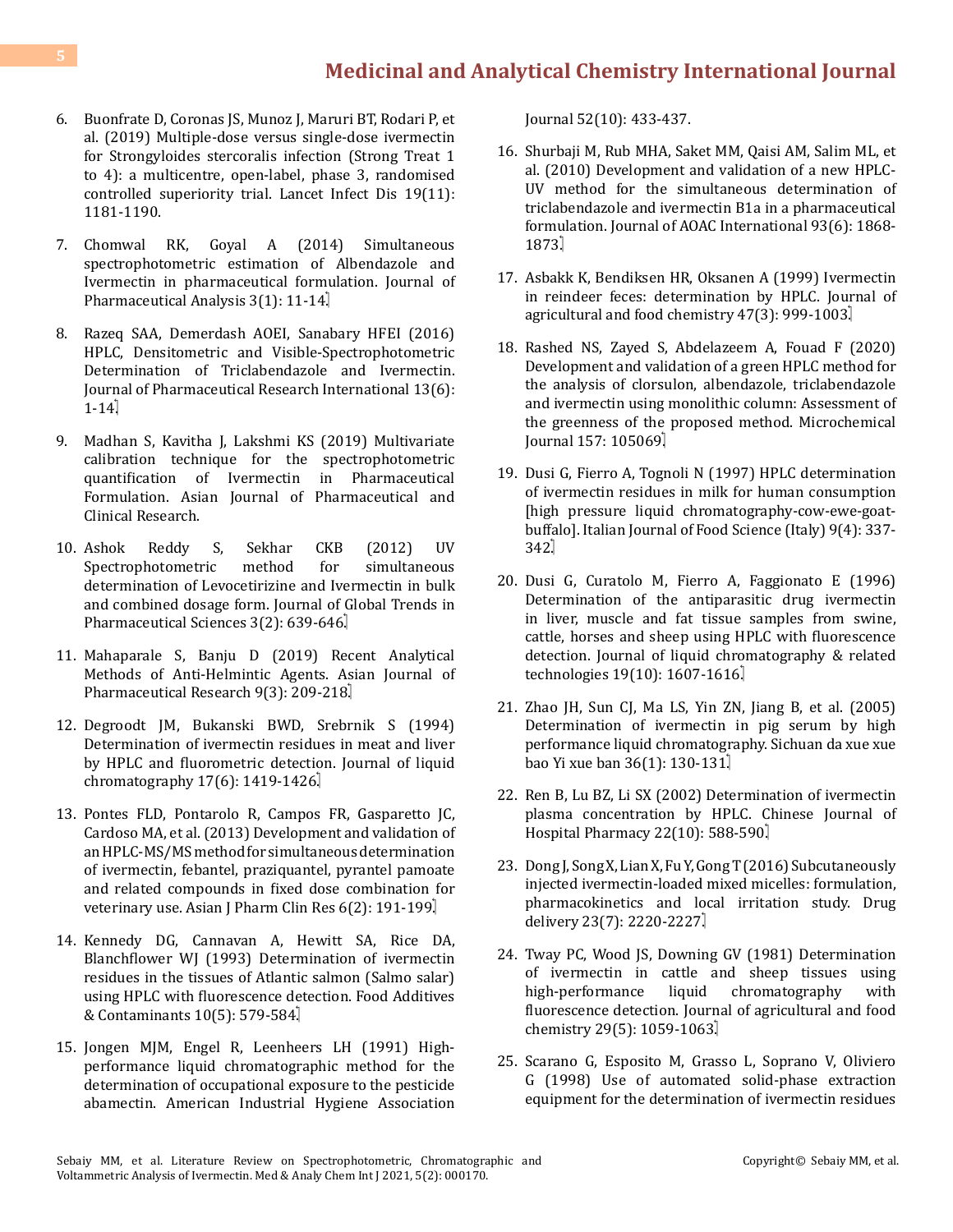- 6. [Buonfrate D, Coronas JS, Munoz J, Maruri BT, Rodari P, et](https://pubmed.ncbi.nlm.nih.gov/31558376/) [al. \(2019\) Multiple-dose versus single-dose ivermectin](https://pubmed.ncbi.nlm.nih.gov/31558376/) [for Strongyloides stercoralis infection \(Strong Treat 1](https://pubmed.ncbi.nlm.nih.gov/31558376/) [to 4\): a multicentre, open-label, phase 3, randomised](https://pubmed.ncbi.nlm.nih.gov/31558376/) [controlled superiority trial. Lancet Infect Dis 19\(11\):](https://pubmed.ncbi.nlm.nih.gov/31558376/) [1181-1190.](https://pubmed.ncbi.nlm.nih.gov/31558376/)
- 7. [Chomwal RK, Goyal A \(2014\) Simultaneous](https://www.rroij.com/open-access/simultaneous-spectrophotometric-estimation-of-albendazole-and-ivermectin-in-pharmaceutical-formulation-.php?aid=34658) [spectrophotometric estimation of Albendazole and](https://www.rroij.com/open-access/simultaneous-spectrophotometric-estimation-of-albendazole-and-ivermectin-in-pharmaceutical-formulation-.php?aid=34658) [Ivermectin in pharmaceutical formulation. Journal of](https://www.rroij.com/open-access/simultaneous-spectrophotometric-estimation-of-albendazole-and-ivermectin-in-pharmaceutical-formulation-.php?aid=34658) [Pharmaceutical Analysis 3\(1\): 11-14.](https://www.rroij.com/open-access/simultaneous-spectrophotometric-estimation-of-albendazole-and-ivermectin-in-pharmaceutical-formulation-.php?aid=34658)
- 8. [Razeq SAA, Demerdash AOEI, Sanabary HFEI \(2016\)](https://www.journaljpri.com/index.php/JPRI/article/view/19543) [HPLC, Densitometric and Visible-Spectrophotometric](https://www.journaljpri.com/index.php/JPRI/article/view/19543) [Determination of Triclabendazole and Ivermectin.](https://www.journaljpri.com/index.php/JPRI/article/view/19543) [Journal of Pharmaceutical Research International 13\(6\):](https://www.journaljpri.com/index.php/JPRI/article/view/19543) [1-14.](https://www.journaljpri.com/index.php/JPRI/article/view/19543)
- 9. [Madhan S, Kavitha J, Lakshmi KS \(2019\) Multivariate](https://www.semanticscholar.org/paper/MULTIVARIATE-CALIBRATION-TECHNIQUE-FOR-THE-OF-IN-Madhan-Kavitha/42c45fc1758042979a38b0acff04074ffcdfb3b8) [calibration technique for the spectrophotometric](https://www.semanticscholar.org/paper/MULTIVARIATE-CALIBRATION-TECHNIQUE-FOR-THE-OF-IN-Madhan-Kavitha/42c45fc1758042979a38b0acff04074ffcdfb3b8) [quantification of Ivermectin in Pharmaceutical](https://www.semanticscholar.org/paper/MULTIVARIATE-CALIBRATION-TECHNIQUE-FOR-THE-OF-IN-Madhan-Kavitha/42c45fc1758042979a38b0acff04074ffcdfb3b8) [Formulation. Asian Journal of Pharmaceutical and](https://www.semanticscholar.org/paper/MULTIVARIATE-CALIBRATION-TECHNIQUE-FOR-THE-OF-IN-Madhan-Kavitha/42c45fc1758042979a38b0acff04074ffcdfb3b8) [Clinical Research.](https://www.semanticscholar.org/paper/MULTIVARIATE-CALIBRATION-TECHNIQUE-FOR-THE-OF-IN-Madhan-Kavitha/42c45fc1758042979a38b0acff04074ffcdfb3b8)
- 10. [Ashok Reddy S, Sekhar CKB \(2012\) UV](https://1library.net/document/z1e6pkvy-spectrophotometric-method-simultaneous-determination-levocetirizine-ivermectin-combined-dosage.html) Spectrophotometric [determination of Levocetirizine and Ivermectin in bulk](https://1library.net/document/z1e6pkvy-spectrophotometric-method-simultaneous-determination-levocetirizine-ivermectin-combined-dosage.html) [and combined dosage form. Journal of Global Trends in](https://1library.net/document/z1e6pkvy-spectrophotometric-method-simultaneous-determination-levocetirizine-ivermectin-combined-dosage.html) [Pharmaceutical Sciences 3\(2\): 639-646.](https://1library.net/document/z1e6pkvy-spectrophotometric-method-simultaneous-determination-levocetirizine-ivermectin-combined-dosage.html)
- 11. [Mahaparale S, Banju D \(2019\) Recent Analytical](https://asianjpr.com/AbstractView.aspx?PID=2019-9-3-14) [Methods of Anti-Helmintic Agents. Asian Journal of](https://asianjpr.com/AbstractView.aspx?PID=2019-9-3-14) [Pharmaceutical Research 9\(3\): 209-218.](https://asianjpr.com/AbstractView.aspx?PID=2019-9-3-14)
- 12. [Degroodt JM, Bukanski BWD, Srebrnik S \(1994\)](https://www.tandfonline.com/doi/abs/10.1080/10826079408013774) [Determination of ivermectin residues in meat and liver](https://www.tandfonline.com/doi/abs/10.1080/10826079408013774) [by HPLC and fluorometric detection.](https://www.tandfonline.com/doi/abs/10.1080/10826079408013774) Journal of liquid chromatography  $17(6)$ : 1419-1426.
- 13. [Pontes FLD, Pontarolo R, Campos FR, Gasparetto JC,](https://www.semanticscholar.org/paper/DEVELOPMENT-AND-VALIDATION-OF-AN-HPLC-MS%2FMS-METHOD-Lada-Pontarolo/18ccebfdba2cffbb569dfc88ed5d0570350524c7) [Cardoso MA, et al. \(2013\) Development and validation of](https://www.semanticscholar.org/paper/DEVELOPMENT-AND-VALIDATION-OF-AN-HPLC-MS%2FMS-METHOD-Lada-Pontarolo/18ccebfdba2cffbb569dfc88ed5d0570350524c7) [an HPLC-MS/MS method for simultaneous determination](https://www.semanticscholar.org/paper/DEVELOPMENT-AND-VALIDATION-OF-AN-HPLC-MS%2FMS-METHOD-Lada-Pontarolo/18ccebfdba2cffbb569dfc88ed5d0570350524c7) [of ivermectin, febantel, praziquantel, pyrantel pamoate](https://www.semanticscholar.org/paper/DEVELOPMENT-AND-VALIDATION-OF-AN-HPLC-MS%2FMS-METHOD-Lada-Pontarolo/18ccebfdba2cffbb569dfc88ed5d0570350524c7) [and related compounds in fixed dose combination for](https://www.semanticscholar.org/paper/DEVELOPMENT-AND-VALIDATION-OF-AN-HPLC-MS%2FMS-METHOD-Lada-Pontarolo/18ccebfdba2cffbb569dfc88ed5d0570350524c7) veterinary use. [Asian J Pharm Clin Res](https://www.semanticscholar.org/paper/DEVELOPMENT-AND-VALIDATION-OF-AN-HPLC-MS%2FMS-METHOD-Lada-Pontarolo/18ccebfdba2cffbb569dfc88ed5d0570350524c7) 6(2): 191-199.
- 14. [Kennedy DG, Cannavan A, Hewitt SA, Rice DA,](https://www.tandfonline.com/doi/abs/10.1080/02652039309374181) [Blanchflower WJ \(1993\) Determination of ivermectin](https://www.tandfonline.com/doi/abs/10.1080/02652039309374181) [residues in the tissues of Atlantic salmon \(Salmo salar\)](https://www.tandfonline.com/doi/abs/10.1080/02652039309374181) [using HPLC with fluorescence detection.](https://www.tandfonline.com/doi/abs/10.1080/02652039309374181) Food Additives & Contaminants 10(5): 579-584.
- 15. [Jongen MJM, Engel R, Leenheers LH \(1991\) High](https://www.tandfonline.com/doi/abs/10.1080/15298669191364992)[performance liquid chromatographic method for the](https://www.tandfonline.com/doi/abs/10.1080/15298669191364992) [determination of occupational exposure to the pesticide](https://www.tandfonline.com/doi/abs/10.1080/15298669191364992) abamectin. [American Industrial Hygiene Association](https://www.tandfonline.com/doi/abs/10.1080/15298669191364992)

Journal [52\(10\): 433-437.](https://www.tandfonline.com/doi/abs/10.1080/15298669191364992)

- 16. [Shurbaji M, Rub MHA, Saket MM, Qaisi AM, Salim ML, et](https://academic.oup.com/jaoac/article/93/6/1868/5655715)  [al. \(2010\) Development and validation of a new HPLC-](https://academic.oup.com/jaoac/article/93/6/1868/5655715)[UV method for the simultaneous determination of](https://academic.oup.com/jaoac/article/93/6/1868/5655715) [triclabendazole and ivermectin B1a in a pharmaceutical](https://academic.oup.com/jaoac/article/93/6/1868/5655715)  formulation. [Journal of AOAC International](https://academic.oup.com/jaoac/article/93/6/1868/5655715) 93(6): 1868- [1873.](https://academic.oup.com/jaoac/article/93/6/1868/5655715)
- 17. [Asbakk K, Bendiksen HR, Oksanen A \(1999\) Ivermectin](https://pubs.acs.org/doi/10.1021/jf980919q) [in reindeer feces: determination by HPLC.](https://pubs.acs.org/doi/10.1021/jf980919q) Journal of [agricultural and food chemistry](https://pubs.acs.org/doi/10.1021/jf980919q) 47(3): 999-1003.
- 18. [Rashed NS, Zayed S, Abdelazeem A, Fouad F \(2020\)](https://www.sciencedirect.com/science/article/abs/pii/S0026265X20308675) [Development and validation of a green HPLC method for](https://www.sciencedirect.com/science/article/abs/pii/S0026265X20308675) [the analysis of clorsulon, albendazole, triclabendazole](https://www.sciencedirect.com/science/article/abs/pii/S0026265X20308675)  [and ivermectin using monolithic column: Assessment of](https://www.sciencedirect.com/science/article/abs/pii/S0026265X20308675) [the greenness of the proposed method.](https://www.sciencedirect.com/science/article/abs/pii/S0026265X20308675) Microchemical [ournal 157: 105069]
- 19. [Dusi G, Fierro A, Tognoli N \(1997\) HPLC determination](https://agris.fao.org/agris-search/search.do?recordID=IT1998061503)  [of ivermectin residues in milk for human consumption](https://agris.fao.org/agris-search/search.do?recordID=IT1998061503)  [\[high pressure liquid chromatography-cow-ewe-goat](https://agris.fao.org/agris-search/search.do?recordID=IT1998061503)buffalo]. [Italian Journal of Food Science \(Italy\) 9\(4\): 337-](https://agris.fao.org/agris-search/search.do?recordID=IT1998061503) [342.](https://agris.fao.org/agris-search/search.do?recordID=IT1998061503)
- 20. [Dusi G, Curatolo M, Fierro A, Faggionato E \(1996\)](https://www.tandfonline.com/doi/abs/10.1080/10826079608005495) [Determination of the antiparasitic drug ivermectin](https://www.tandfonline.com/doi/abs/10.1080/10826079608005495)  [in liver, muscle and fat tissue samples from swine,](https://www.tandfonline.com/doi/abs/10.1080/10826079608005495) [cattle, horses and sheep using HPLC with fluorescence](https://www.tandfonline.com/doi/abs/10.1080/10826079608005495) detection. [Journal of liquid chromatography & related](https://www.tandfonline.com/doi/abs/10.1080/10826079608005495) technologies  $19(10)$ :  $1607-1616$ .
- 21. [Zhao JH, Sun CJ, Ma LS, Yin ZN, Jiang B, et al. \(2005\)](https://pubmed.ncbi.nlm.nih.gov/15702802/) [Determination of ivermectin in pig serum by high](https://pubmed.ncbi.nlm.nih.gov/15702802/) [performance liquid chromatography.](https://pubmed.ncbi.nlm.nih.gov/15702802/) Sichuan da xue xue [bao Yi xue ban 36\(1\): 130-131.](https://pubmed.ncbi.nlm.nih.gov/15702802/)
- 22. [Ren B, Lu BZ, Li SX \(2002\) Determination of ivermectin](http://caod.oriprobe.com/articles/5289928/Determination_of_ivermectin_plasma_concentration_by_HPLC.htm) [plasma concentration by HPLC.](http://caod.oriprobe.com/articles/5289928/Determination_of_ivermectin_plasma_concentration_by_HPLC.htm) Chinese Journal of [Hospital Pharmacy](http://caod.oriprobe.com/articles/5289928/Determination_of_ivermectin_plasma_concentration_by_HPLC.htm) 22(10): 588-590.
- 23. [Dong J, Song X, Lian X, Fu Y, Gong T \(2016\) Subcutaneously](https://pubmed.ncbi.nlm.nih.gov/25188004/)  [injected ivermectin-loaded mixed micelles: formulation,](https://pubmed.ncbi.nlm.nih.gov/25188004/)  [pharmacokinetics and local irritation study.](https://pubmed.ncbi.nlm.nih.gov/25188004/) Drug delivery 23(7): 2220-2227.
- 24. [Tway PC, Wood JS, Downing GV \(1981\) Determination](https://pubs.acs.org/doi/abs/10.1021/jf00107a041) [of ivermectin in cattle and sheep tissues using](https://pubs.acs.org/doi/abs/10.1021/jf00107a041)<br>high-performance liquid chromatography with chromatography fluorescence detection. [Journal of agricultural and food](https://pubs.acs.org/doi/abs/10.1021/jf00107a041) chemistry 29(5): 1059-1063.
- 25. [Scarano G, Esposito M, Grasso L, Soprano V, Oliviero](https://pubmed.ncbi.nlm.nih.gov/10435297/)  [G \(1998\) Use of automated solid-phase extraction](https://pubmed.ncbi.nlm.nih.gov/10435297/)  [equipment for the determination of ivermectin residues](https://pubmed.ncbi.nlm.nih.gov/10435297/)